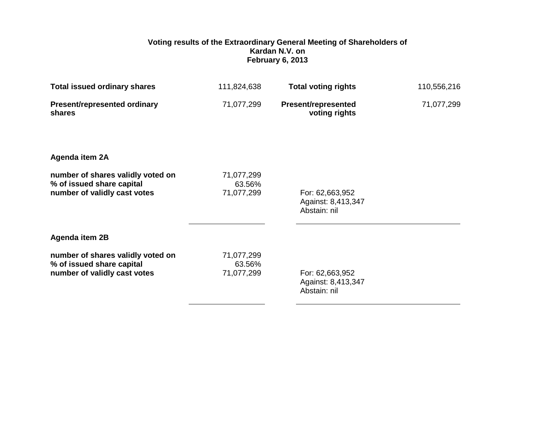## **Voting results of the Extraordinary General Meeting of Shareholders of Kardan N.V. on February 6, 2013**

| <b>Total issued ordinary shares</b>                                                            | 111,824,638                        | <b>Total voting rights</b>                            | 110,556,216 |
|------------------------------------------------------------------------------------------------|------------------------------------|-------------------------------------------------------|-------------|
| <b>Present/represented ordinary</b><br>shares                                                  | 71,077,299                         | <b>Present/represented</b><br>voting rights           | 71,077,299  |
| Agenda item 2A                                                                                 |                                    |                                                       |             |
| number of shares validly voted on<br>% of issued share capital<br>number of validly cast votes | 71,077,299<br>63.56%<br>71,077,299 | For: 62,663,952<br>Against: 8,413,347<br>Abstain: nil |             |
| Agenda item 2B                                                                                 |                                    |                                                       |             |
| number of shares validly voted on<br>% of issued share capital<br>number of validly cast votes | 71,077,299<br>63.56%<br>71,077,299 | For: 62,663,952<br>Against: 8,413,347<br>Abstain: nil |             |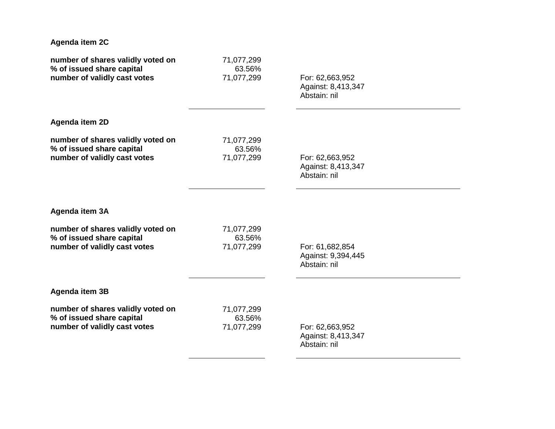| Agenda item 2C                    |            |                    |  |
|-----------------------------------|------------|--------------------|--|
| number of shares validly voted on | 71,077,299 | For: 62,663,952    |  |
| % of issued share capital         | 63.56%     | Against: 8,413,347 |  |
| number of validly cast votes      | 71,077,299 | Abstain: nil       |  |
| Agenda item 2D                    |            |                    |  |
| number of shares validly voted on | 71,077,299 | For: 62,663,952    |  |
| % of issued share capital         | 63.56%     | Against: 8,413,347 |  |
| number of validly cast votes      | 71,077,299 | Abstain: nil       |  |
| Agenda item 3A                    |            |                    |  |
| number of shares validly voted on | 71,077,299 | For: 61,682,854    |  |
| % of issued share capital         | 63.56%     | Against: 9,394,445 |  |
| number of validly cast votes      | 71,077,299 | Abstain: nil       |  |
| Agenda item 3B                    |            |                    |  |
| number of shares validly voted on | 71,077,299 | For: 62,663,952    |  |
| % of issued share capital         | 63.56%     | Against: 8,413,347 |  |
| number of validly cast votes      | 71,077,299 | Abstain: nil       |  |